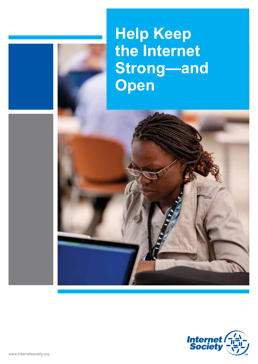## **Help Keep** the Internet **Strong-and** Open



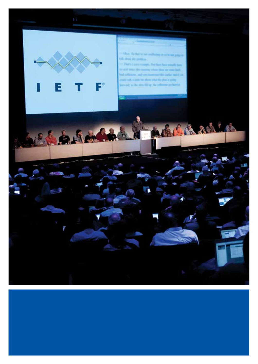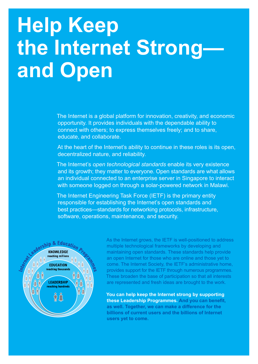# **Help Keep the Internet Strong and Open**

The Internet is a global platform for innovation, creativity, and economic opportunity. It provides individuals with the dependable ability to connect with others; to express themselves freely; and to share, educate, and collaborate.

At the heart of the Internet's ability to continue in these roles is its open, decentralized nature, and reliability.

The Internet's *open technological standards* enable its very existence and its growth; they matter to everyone. Open standards are what allows an individual connected to an enterprise server in Singapore to interact with someone logged on through a solar-powered network in Malawi.

The Internet Engineering Task Force (IETF) is the primary entity responsible for establishing the Internet's open standards and best practices—standards for networking protocols, infrastructure, software, operations, maintenance, and security.



As the Internet grows, the IETF is well-positioned to address multiple technological frameworks by developing and maintaining open standards. These standards help provide an open Internet for those who are online and those yet to come. The Internet Society, the IETF's administrative home, provides support for the IETF through numerous programmes. These broaden the base of participation so that all interests are represented and fresh ideas are brought to the work.

**You can help keep the Internet strong by supporting these Leadership Programmes. And you can benefit, as well. Together, we can make a difference for the billions of current users and the billions of Internet users yet to come.**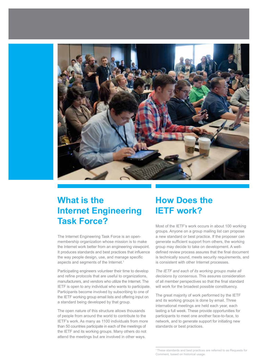

## **What is the Internet Engineering Task Force?**

The Internet Engineering Task Force is an openmembership organization whose mission is to make the Internet work better from an engineering viewpoint. It produces standards and best practices that influence the way people design, use, and manage specific aspects and segments of the Internet.<sup>1</sup>

Participating engineers volunteer their time to develop and refine protocols that are useful to organizations, manufacturers, and vendors who utilize the Internet. The IETF is open to any individual who wants to participate. Participants become involved by subscribing to one of the IETF working group email lists and offering input on a standard being developed by that group.

The open nature of this structure allows thousands of people from around the world to contribute to the IETF's work. As many as 1100 individuals from more than 50 countries participate in each of the meetings of the IETF and its working groups. Many others do not attend the meetings but are involved in other ways.

## **How Does the IETF work?**

Most of the IETF's work occurs in about 100 working groups. Anyone on a group mailing list can propose a new standard or best practice. If the proposer can generate sufficient support from others, the working group may decide to take on development. A welldefined review process assures that the final document is technically sound, meets security requirements, and is consistent with other Internet processes.

*The IETF and each of its working groups make all decisions by consensus.* This assures consideration of all member perspectives so that the final standard will work for the broadest possible constituency.

The great majority of work performed by the IETF and its working groups is done by email. Three international meetings are held each year, each lasting a full week. These provide opportunities for participants to meet one another face-to-face, to network, and to generate support for initiating new standards or best practices.

<sup>&</sup>lt;sup>1</sup> These standards and best practices are referred to as Requests for Comment, based on historical usage.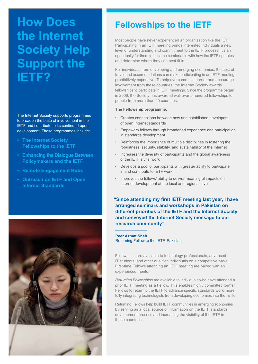## **How Does the Internet Society Help Support the IETF?**

The Internet Society supports programmes to broaden the base of involvement in the IETF and contribute to its continued open development. These programmes include:

- **• The Internet Society Fellowships to the IETF**
- **• Enhancing the Dialogue Between Policymakers and the IETF**
- **• Remote Engagement Hubs**
- **• Outreach on IETF and Open Internet Standards**



## **Fellowships to the IETF**

Most people have never experienced an organization like the IETF. Participating in an IETF meeting brings interested individuals a new level of understanding and commitment to the IETF process. It's an opportunity for them to become comfortable with how the IETF operates and determine where they can best fit in.

For individuals from developing and emerging economies, the cost of travel and accommodations can make participating in an IETF meeting prohibitively expensive. To help overcome this barrier and encourage involvement from these countries, the Internet Society awards fellowships to participate in IETF meetings. Since the programme began in 2006, the Society has awarded well over a hundred fellowships to people from more than 40 countries.

#### **The Fellowship programme:**

- Creates connections between new and established developers of open Internet standards
- Empowers fellows through broadened experience and participation in standards development
- Reinforces the importance of multiple disciplines in fostering the robustness, security, stability, and sustainability of the Internet
- Increases the diversity of participants and the global awareness of the IETF's vital work
- Develops a pool of participants with greater ability to participate in and contribute to IETF work
- Improves the fellows' ability to deliver meaningful impacts on Internet development at the local and regional level.

**"Since attending my first IETF meeting last year, I have arranged seminars and workshops in Pakistan on different priorities of the IETF and the Internet Society and conveyed the Internet Society message to our research community".**

**Peer Azmat Shah** Returning Fellow to the IETF, Pakistan

Fellowships are available to technology professionals, advanced IT students, and other qualified individuals on a competitive basis. First-time Fellows attending an IETF meeting are paired with an experienced mentor.

*Returning Fellowships* are available to individuals who have attended a prior IETF meeting as a Fellow. This enables highly committed former Fellows to return to the IETF to advance specific standards work, more fully integrating technologists from developing economies into the IETF.

Returning Fellows help build IETF communities in emerging economies by serving as a local source of information on the IETF standards development process and increasing the visibility of the IETF in those countries.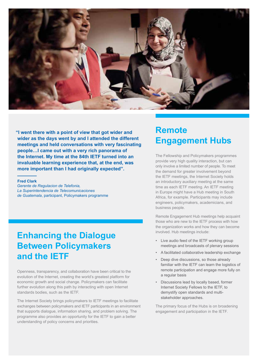

**"I went there with a point of view that got wider and wider as the days went by and I attended the different meetings and held conversations with very fascinating people…I came out with a very rich panorama of the Internet. My time at the 84th IETF turned into an invaluable learning experience that, at the end, was more important than I had originally expected".**

#### **Fred Clark**

*Gerente de Regulacion de Telefonia, La Superintendencia de Telecomunicaciones de Guatemala*, participant, Policymakers programme

## **Enhancing the Dialogue Between Policymakers and the IETF**

Openness, transparency, and collaboration have been critical to the evolution of the Internet, creating the world's greatest platform for economic growth and social change. Policymakers can facilitate further evolution along this path by interacting with open Internet standards bodies, such as the IETF.

The Internet Society brings policymakers to IETF meetings to facilitate exchanges between policymakers and IETF participants in an environment that supports dialogue, information sharing, and problem solving. The programme also provides an opportunity for the IETF to gain a better understanding of policy concerns and priorities.

### **Remote Engagement Hubs**

The Fellowship and Policymakers programmes provide very high quality interaction, but can only involve a limited number of people. To meet the demand for greater involvement beyond the IETF meetings, the Internet Society holds an introductory auxiliary meeting at the same time as each IETF meeting. An IETF meeting in Europe might have a Hub meeting in South Africa, for example. Participants may include engineers, policymakers, academicians, and business people.

Remote Engagement Hub meetings help acquaint those who are new to the IETF process with how the organization works and how they can become involved. Hub meetings include:

- Live audio feed of the IETF working group meetings and broadcasts of plenary sessions
- A facilitated collaborative leadership exchange
- Deep dive discussions, so those already familiar with the IETF can learn the logistics of remote participation and engage more fully on a regular basis
- Discussions lead by locally based, former Internet Society Fellows to the IETF, to demystify open standards and multistakeholder approaches.

The primary focus of the Hubs is on broadening engagement and participation in the IETF.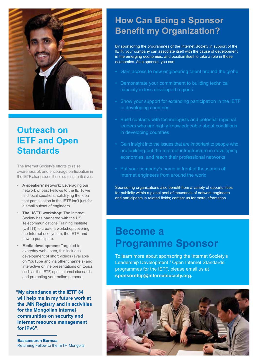

## **Outreach on IETF and Open Standards**

The Internet Society's efforts to raise awareness of, and encourage participation in the IETF also include these outreach initiatives:

- **A speakers' network:** Leveraging our network of past Fellows to the IETF, we find local speakers, solidifying the idea that participation in the IETF isn't just for a small subset of engineers.
- **The USTTI workshop:** The Internet Society has partnered with the US Telecommunications Training Institute (USTTI) to create a workshop covering the Internet ecosystem, the IETF, and how to participate.
- **Media development:** Targeted to everyday web users, this includes development of short videos (available on YouTube and via other channels) and interactive online presentations on topics such as the IETF, open Internet standards, and protecting your online persona.

**"My attendance at the IETF 84 will help me in my future work at the .MN Registry and in activities for the Mongolian Internet communities on security and Internet resource management for IPv6".**

## **How Can Being a Sponsor Benefit my Organization?**

By sponsoring the programmes of the Internet Society in support of the IETF, your company can associate itself with the cause of development in the emerging economies, and position itself to take a role in those economies. As a sponsor, you can:

- Gain access to new engineering talent around the globe
- Demonstrate your commitment to building technical capacity in less developed regions
- Show your support for extending participation in the IETF to developing countries
- Build contacts with technologists and potential regional leaders who are highly knowledgeable about conditions in developing countries
- Gain insight into the issues that are important to people who are building-out the Internet infrastructure in developing economies, and reach their professional networks
- Put your company's name in front of thousands of Internet engineers from around the world

Sponsoring organizations also benefit from a variety of opportunities for publicity within a global pool of thousands of network engineers and participants in related fields; contact us for more information.

## **Become a Programme Sponsor**

To learn more about sponsoring the Internet Society's Leadership Development / Open Internet Standards programmes for the IETF, please email us at **sponsorship@internetsociety.org.**